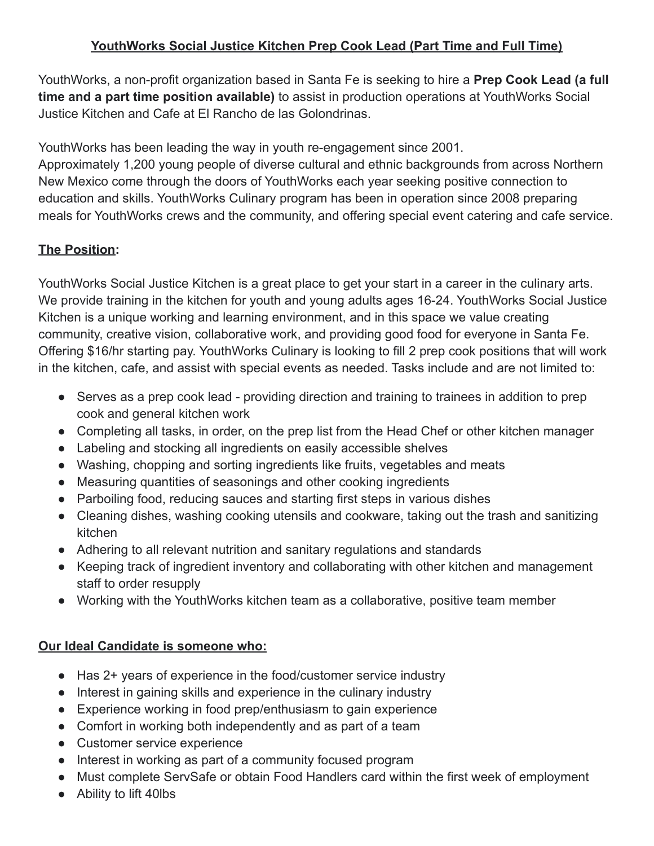## **YouthWorks Social Justice Kitchen Prep Cook Lead (Part Time and Full Time)**

YouthWorks, a non-profit organization based in Santa Fe is seeking to hire a **Prep Cook Lead (a full time and a part time position available)** to assist in production operations at YouthWorks Social Justice Kitchen and Cafe at El Rancho de las Golondrinas.

YouthWorks has been leading the way in youth re-engagement since 2001.

Approximately 1,200 young people of diverse cultural and ethnic backgrounds from across Northern New Mexico come through the doors of YouthWorks each year seeking positive connection to education and skills. YouthWorks Culinary program has been in operation since 2008 preparing meals for YouthWorks crews and the community, and offering special event catering and cafe service.

## **The Position:**

YouthWorks Social Justice Kitchen is a great place to get your start in a career in the culinary arts. We provide training in the kitchen for youth and young adults ages 16-24. YouthWorks Social Justice Kitchen is a unique working and learning environment, and in this space we value creating community, creative vision, collaborative work, and providing good food for everyone in Santa Fe. Offering \$16/hr starting pay. YouthWorks Culinary is looking to fill 2 prep cook positions that will work in the kitchen, cafe, and assist with special events as needed. Tasks include and are not limited to:

- Serves as a prep cook lead providing direction and training to trainees in addition to prep cook and general kitchen work
- Completing all tasks, in order, on the prep list from the Head Chef or other kitchen manager
- Labeling and stocking all ingredients on easily accessible shelves
- Washing, chopping and sorting ingredients like fruits, vegetables and meats
- Measuring quantities of seasonings and other cooking ingredients
- Parboiling food, reducing sauces and starting first steps in various dishes
- Cleaning dishes, washing cooking utensils and cookware, taking out the trash and sanitizing kitchen
- Adhering to all relevant nutrition and sanitary regulations and standards
- Keeping track of ingredient inventory and collaborating with other kitchen and management staff to order resupply
- Working with the YouthWorks kitchen team as a collaborative, positive team member

## **Our Ideal Candidate is someone who:**

- Has 2+ years of experience in the food/customer service industry
- Interest in gaining skills and experience in the culinary industry
- Experience working in food prep/enthusiasm to gain experience
- Comfort in working both independently and as part of a team
- Customer service experience
- Interest in working as part of a community focused program
- Must complete ServSafe or obtain Food Handlers card within the first week of employment
- Ability to lift 40lbs